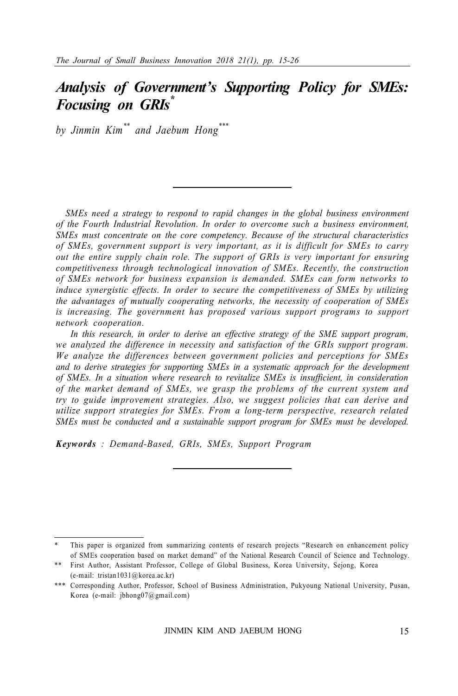## *Analysis of Government's Supporting Policy for SMEs: Focusing on GRIs\**

*by Jinmin Kim\*\* and Jaebum Hong\*\*\**

*SMEs need a strategy to respond to rapid changes in the global business environment of the Fourth Industrial Revolution. In order to overcome such a business environment, SMEs must concentrate on the core competency. Because of the structural characteristics of SMEs, government support is very important, as it is difficult for SMEs to carry out the entire supply chain role. The support of GRIs is very important for ensuring competitiveness through technological innovation of SMEs. Recently, the construction of SMEs network for business expansion is demanded. SMEs can form networks to induce synergistic effects. In order to secure the competitiveness of SMEs by utilizing the advantages of mutually cooperating networks, the necessity of cooperation of SMEs is increasing. The government has proposed various support programs to support network cooperation.*

 *In this research, in order to derive an effective strategy of the SME support program, we analyzed the difference in necessity and satisfaction of the GRIs support program. We analyze the differences between government policies and perceptions for SMEs and to derive strategies for supporting SMEs in a systematic approach for the development of SMEs. In a situation where research to revitalize SMEs is insufficient, in consideration of the market demand of SMEs, we grasp the problems of the current system and try to guide improvement strategies. Also, we suggest policies that can derive and utilize support strategies for SMEs. From a long-term perspective, research related SMEs must be conducted and a sustainable support program for SMEs must be developed.*

*Keywords : Demand-Based, GRIs, SMEs, Support Program*

This paper is organized from summarizing contents of research projects "Research on enhancement policy of SMEs cooperation based on market demand" of the National Research Council of Science and Technology.

<sup>\*\*</sup> First Author, Assistant Professor, College of Global Business, Korea University, Sejong, Korea (e-mail: tristan1031@korea.ac.kr)

<sup>\*\*\*</sup> Corresponding Author, Professor, School of Business Administration, Pukyoung National University, Pusan, Korea (e-mail: jbhong07@gmail.com)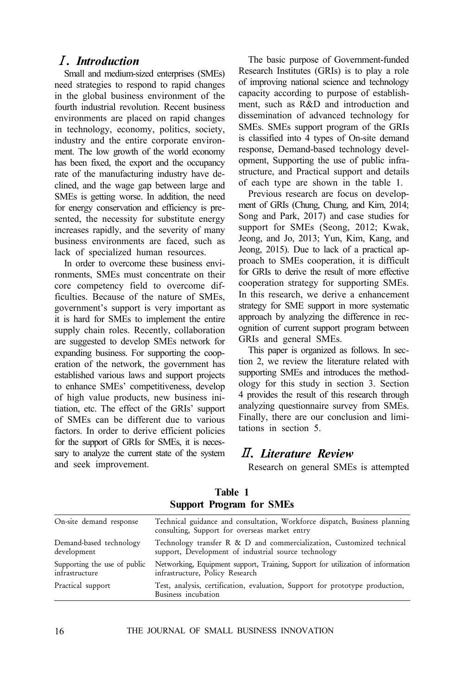## Ⅰ*. Introduction*

Small and medium-sized enterprises (SMEs) need strategies to respond to rapid changes in the global business environment of the fourth industrial revolution. Recent business environments are placed on rapid changes in technology, economy, politics, society, industry and the entire corporate environment. The low growth of the world economy has been fixed, the export and the occupancy rate of the manufacturing industry have declined, and the wage gap between large and SMEs is getting worse. In addition, the need for energy conservation and efficiency is presented, the necessity for substitute energy increases rapidly, and the severity of many business environments are faced, such as lack of specialized human resources.

In order to overcome these business environments, SMEs must concentrate on their core competency field to overcome difficulties. Because of the nature of SMEs, government's support is very important as it is hard for SMEs to implement the entire supply chain roles. Recently, collaboration are suggested to develop SMEs network for expanding business. For supporting the cooperation of the network, the government has established various laws and support projects to enhance SMEs' competitiveness, develop of high value products, new business initiation, etc. The effect of the GRIs' support of SMEs can be different due to various factors. In order to derive efficient policies for the support of GRIs for SMEs, it is necessary to analyze the current state of the system and seek improvement.

The basic purpose of Government-funded Research Institutes (GRIs) is to play a role of improving national science and technology capacity according to purpose of establishment, such as R&D and introduction and dissemination of advanced technology for SMEs. SMEs support program of the GRIs is classified into 4 types of On-site demand response, Demand-based technology development, Supporting the use of public infrastructure, and Practical support and details of each type are shown in the table 1.

Previous research are focus on development of GRIs (Chung, Chung, and Kim, 2014; Song and Park, 2017) and case studies for support for SMEs (Seong, 2012; Kwak, Jeong, and Jo, 2013; Yun, Kim, Kang, and Jeong, 2015). Due to lack of a practical approach to SMEs cooperation, it is difficult for GRIs to derive the result of more effective cooperation strategy for supporting SMEs. In this research, we derive a enhancement strategy for SME support in more systematic approach by analyzing the difference in recognition of current support program between GRIs and general SMEs.

This paper is organized as follows. In section 2, we review the literature related with supporting SMEs and introduces the methodology for this study in section 3. Section 4 provides the result of this research through analyzing questionnaire survey from SMEs. Finally, there are our conclusion and limitations in section 5.

## Ⅱ*. Literature Review*

Research on general SMEs is attempted

| On-site demand response                        | Technical guidance and consultation, Workforce dispatch, Business planning<br>consulting, Support for overseas market entry   |
|------------------------------------------------|-------------------------------------------------------------------------------------------------------------------------------|
| Demand-based technology<br>development         | Technology transfer R & D and commercialization, Customized technical<br>support, Development of industrial source technology |
| Supporting the use of public<br>infrastructure | Networking, Equipment support, Training, Support for utilization of information<br>infrastructure, Policy Research            |
| Practical support                              | Test, analysis, certification, evaluation, Support for prototype production,<br>Business incubation                           |

**Table 1 Support Program for SMEs**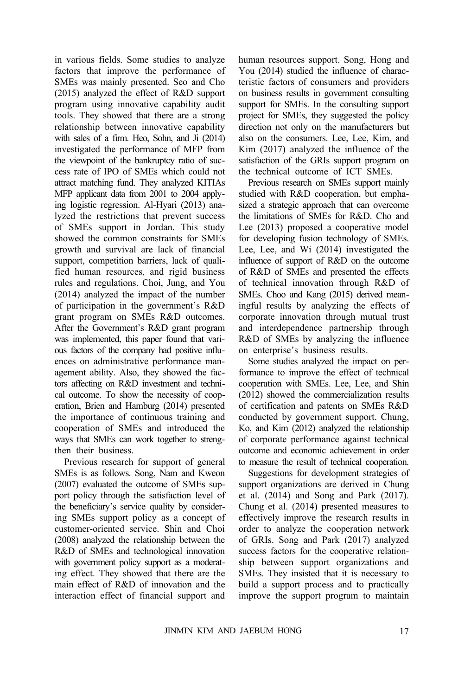in various fields. Some studies to analyze factors that improve the performance of SMEs was mainly presented. Seo and Cho (2015) analyzed the effect of R&D support program using innovative capability audit tools. They showed that there are a strong relationship between innovative capability with sales of a firm. Heo, Sohn, and Ji (2014) investigated the performance of MFP from the viewpoint of the bankruptcy ratio of success rate of IPO of SMEs which could not attract matching fund. They analyzed KITIAs MFP applicant data from 2001 to 2004 applying logistic regression. Al-Hyari (2013) analyzed the restrictions that prevent success of SMEs support in Jordan. This study showed the common constraints for SMEs growth and survival are lack of financial support, competition barriers, lack of qualified human resources, and rigid business rules and regulations. Choi, Jung, and You (2014) analyzed the impact of the number of participation in the government's R&D grant program on SMEs R&D outcomes. After the Government's R&D grant program was implemented, this paper found that various factors of the company had positive influences on administrative performance management ability. Also, they showed the factors affecting on R&D investment and technical outcome. To show the necessity of cooperation, Brien and Hamburg (2014) presented the importance of continuous training and cooperation of SMEs and introduced the ways that SMEs can work together to strengthen their business.

Previous research for support of general SMEs is as follows. Song, Nam and Kweon (2007) evaluated the outcome of SMEs support policy through the satisfaction level of the beneficiary's service quality by considering SMEs support policy as a concept of customer-oriented service. Shin and Choi (2008) analyzed the relationship between the R&D of SMEs and technological innovation with government policy support as a moderating effect. They showed that there are the main effect of R&D of innovation and the interaction effect of financial support and

human resources support. Song, Hong and You (2014) studied the influence of characteristic factors of consumers and providers on business results in government consulting support for SMEs. In the consulting support project for SMEs, they suggested the policy direction not only on the manufacturers but also on the consumers. Lee, Lee, Kim, and Kim (2017) analyzed the influence of the satisfaction of the GRIs support program on the technical outcome of ICT SMEs.

Previous research on SMEs support mainly studied with R&D cooperation, but emphasized a strategic approach that can overcome the limitations of SMEs for R&D. Cho and Lee (2013) proposed a cooperative model for developing fusion technology of SMEs. Lee, Lee, and Wi (2014) investigated the influence of support of R&D on the outcome of R&D of SMEs and presented the effects of technical innovation through R&D of SMEs. Choo and Kang (2015) derived meaningful results by analyzing the effects of corporate innovation through mutual trust and interdependence partnership through R&D of SMEs by analyzing the influence on enterprise's business results.

Some studies analyzed the impact on performance to improve the effect of technical cooperation with SMEs. Lee, Lee, and Shin (2012) showed the commercialization results of certification and patents on SMEs R&D conducted by government support. Chung, Ko, and Kim (2012) analyzed the relationship of corporate performance against technical outcome and economic achievement in order to measure the result of technical cooperation.

Suggestions for development strategies of support organizations are derived in Chung et al. (2014) and Song and Park (2017). Chung et al. (2014) presented measures to effectively improve the research results in order to analyze the cooperation network of GRIs. Song and Park (2017) analyzed success factors for the cooperative relationship between support organizations and SMEs. They insisted that it is necessary to build a support process and to practically improve the support program to maintain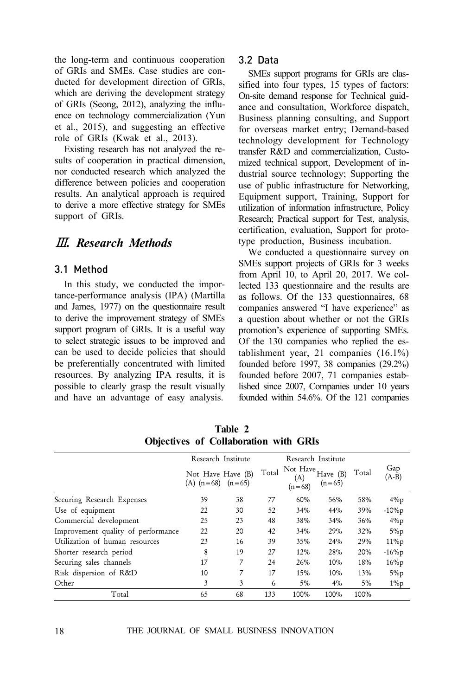the long-term and continuous cooperation of GRIs and SMEs. Case studies are conducted for development direction of GRIs, which are deriving the development strategy of GRIs (Seong, 2012), analyzing the influence on technology commercialization (Yun et al., 2015), and suggesting an effective role of GRIs (Kwak et al., 2013).

Existing research has not analyzed the results of cooperation in practical dimension, nor conducted research which analyzed the difference between policies and cooperation results. An analytical approach is required to derive a more effective strategy for SMEs support of GRIs.

## Ⅲ*. Research Methods*

#### 3.1 Method

In this study, we conducted the importance-performance analysis (IPA) (Martilla and James, 1977) on the questionnaire result to derive the improvement strategy of SMEs support program of GRIs. It is a useful way to select strategic issues to be improved and can be used to decide policies that should be preferentially concentrated with limited resources. By analyzing IPA results, it is possible to clearly grasp the result visually and have an advantage of easy analysis.

#### 3.2 Data

SMEs support programs for GRIs are classified into four types, 15 types of factors: On-site demand response for Technical guidance and consultation, Workforce dispatch, Business planning consulting, and Support for overseas market entry; Demand-based technology development for Technology transfer R&D and commercialization, Customized technical support, Development of industrial source technology; Supporting the use of public infrastructure for Networking, Equipment support, Training, Support for utilization of information infrastructure, Policy Research; Practical support for Test, analysis, certification, evaluation, Support for prototype production, Business incubation.

We conducted a questionnaire survey on SMEs support projects of GRIs for 3 weeks from April 10, to April 20, 2017. We collected 133 questionnaire and the results are as follows. Of the 133 questionnaires, 68 companies answered "I have experience" as a question about whether or not the GRIs promotion's experience of supporting SMEs. Of the 130 companies who replied the establishment year, 21 companies (16.1%) founded before 1997, 38 companies (29.2%) founded before 2007, 71 companies established since 2007, Companies under 10 years founded within 54.6%. Of the 121 companies

| <b>ODJECUVES OF COHADOPATION WITH GRIS</b> |                                            |    |                    |                              |                        |       |                |
|--------------------------------------------|--------------------------------------------|----|--------------------|------------------------------|------------------------|-------|----------------|
|                                            | Research Institute                         |    | Research Institute |                              |                        |       |                |
|                                            | Not Have Have (B)<br>(A) $(n=68)$ $(n=65)$ |    | Total              | Not Have.<br>(A)<br>$(n=68)$ | Have $(B)$<br>$(n=65)$ | Total | Gap<br>$(A-B)$ |
| Securing Research Expenses                 | 39                                         | 38 | 77                 | 60%                          | 56%                    | 58%   | $4\%p$         |
| Use of equipment                           | 22                                         | 30 | 52                 | 34%                          | 44%                    | 39%   | $-10\%p$       |
| Commercial development                     | 25                                         | 23 | 48                 | 38%                          | 34%                    | 36%   | $4\%p$         |
| Improvement quality of performance         | 22                                         | 20 | 42                 | 34%                          | 29%                    | 32%   | $5\%p$         |
| Utilization of human resources             | 23                                         | 16 | 39                 | 35%                          | 24%                    | 29%   | $11\%p$        |
| Shorter research period                    | 8                                          | 19 | 27                 | 12%                          | 28%                    | 20%   | $-16\%p$       |
| Securing sales channels                    | 17                                         | 7  | 24                 | 26%                          | 10%                    | 18%   | $16\%p$        |
| Risk dispersion of R&D                     | 10                                         | 7  | 17                 | 15%                          | 10%                    | 13%   | $5\%p$         |
| Other                                      | 3                                          | 3  | 6                  | $5\%$                        | 4%                     | 5%    | $1\%p$         |
| Total                                      | 65                                         | 68 | 133                | 100%                         | 100%                   | 100%  |                |

**Table 2 Objectives of Collaboration with GRIs**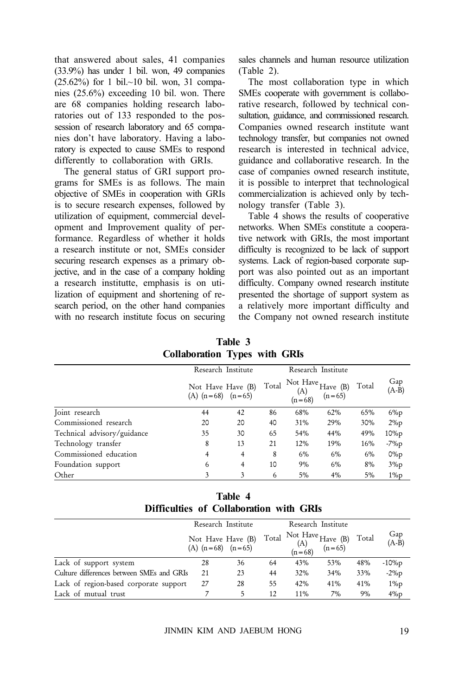that answered about sales, 41 companies (33.9%) has under 1 bil. won, 49 companies  $(25.62\%)$  for 1 bil.~10 bil. won, 31 companies (25.6%) exceeding 10 bil. won. There are 68 companies holding research laboratories out of 133 responded to the possession of research laboratory and 65 companies don't have laboratory. Having a laboratory is expected to cause SMEs to respond differently to collaboration with GRIs.

The general status of GRI support programs for SMEs is as follows. The main objective of SMEs in cooperation with GRIs is to secure research expenses, followed by utilization of equipment, commercial development and Improvement quality of performance. Regardless of whether it holds a research institute or not, SMEs consider securing research expenses as a primary objective, and in the case of a company holding a research institutte, emphasis is on utilization of equipment and shortening of research period, on the other hand companies with no research institute focus on securing sales channels and human resource utilization (Table 2).

The most collaboration type in which SMEs cooperate with government is collaborative research, followed by technical consultation, guidance, and commissioned research. Companies owned research institute want technology transfer, but companies not owned research is interested in technical advice, guidance and collaborative research. In the case of companies owned research institute, it is possible to interpret that technological commercialization is achieved only by technology transfer (Table 3).

Table 4 shows the results of cooperative networks. When SMEs constitute a cooperative network with GRIs, the most important difficulty is recognized to be lack of support systems. Lack of region-based corporate support was also pointed out as an important difficulty. Company owned research institute presented the shortage of support system as a relatively more important difficulty and the Company not owned research institute

**Table 3 Collaboration Types with GRIs**

|                             | Research Institute                         |    |       |                 | Research Institute                 |       |                |
|-----------------------------|--------------------------------------------|----|-------|-----------------|------------------------------------|-------|----------------|
|                             | Not Have Have (B)<br>(A) $(n=68)$ $(n=65)$ |    | Total | (A)<br>$(n=68)$ | Not Have $H$ ave $(B)$<br>$(n=65)$ | Total | Gap<br>$(A-B)$ |
| Joint research              | 44                                         | 42 | 86    | 68%             | 62%                                | 65%   | $6\%p$         |
| Commissioned research       | 20                                         | 20 | 40    | 31%             | 29%                                | 30%   | $2\%p$         |
| Technical advisory/guidance | 35                                         | 30 | 65    | 54%             | 44%                                | 49%   | 10%p           |
| Technology transfer         | 8                                          | 13 | 21    | 12%             | 19%                                | 16%   | $-7\%p$        |
| Commissioned education      | 4                                          | 4  | 8     | 6%              | 6%                                 | 6%    | $0\%p$         |
| Foundation support          | 6                                          | 4  | 10    | 9%              | $6\%$                              | 8%    | $3\%p$         |
| Other                       |                                            |    | 6     | 5%              | $4\%$                              | 5%    | $1\%p$         |

**Table 4 Difficulties of Collaboration with GRIs**

|                                           | Research Institute                         |    |       |                 | Research Institute                            |       |                         |
|-------------------------------------------|--------------------------------------------|----|-------|-----------------|-----------------------------------------------|-------|-------------------------|
|                                           | Not Have Have (B)<br>(A) $(n=68)$ $(n=65)$ |    | Total | (A)<br>(n = 68) | $\overline{AB}$ Not Have Have (B)<br>$(n=65)$ | Total | Gap<br>$(A-\mathbf{B})$ |
| Lack of support system                    | 28                                         | 36 | 64    | 43%             | 53%                                           | 48%   | $-10%p$                 |
| Culture differences between SMEs and GRIs | 21                                         | 23 | 44    | 32%             | 34%                                           | 33%   | $-2\%p$                 |
| Lack of region-based corporate support    | 27                                         | 28 | 55    | 42%             | 41%                                           | 41%   | $1\%p$                  |
| Lack of mutual trust                      |                                            | 5  | 12    | 11%             | 7%                                            | 9%    | $4\%p$                  |

JINMIN KIM AND JAEBUM HONG 19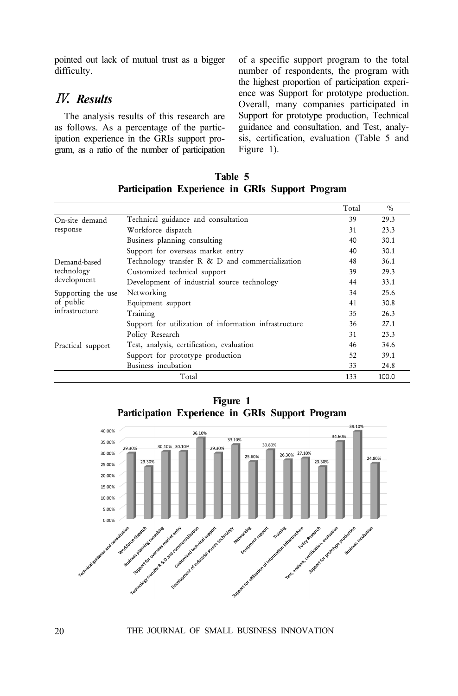pointed out lack of mutual trust as a bigger difficulty.

## Ⅳ*. Results*

The analysis results of this research are as follows. As a percentage of the participation experience in the GRIs support program, as a ratio of the number of participation of a specific support program to the total number of respondents, the program with the highest proportion of participation experience was Support for prototype production. Overall, many companies participated in Support for prototype production, Technical guidance and consultation, and Test, analysis, certification, evaluation (Table 5 and Figure 1).

|                    |                                                       | Total | $\%$  |
|--------------------|-------------------------------------------------------|-------|-------|
| On-site demand     | Technical guidance and consultation                   | 39    | 29.3  |
| response           | Workforce dispatch                                    | 31    | 23.3  |
|                    | Business planning consulting                          | 40    | 30.1  |
|                    | Support for overseas market entry                     | 40    | 30.1  |
| Demand-based       | Technology transfer R & D and commercialization       | 48    | 36.1  |
| technology         | Customized technical support                          | 39    | 29.3  |
| development        | Development of industrial source technology           | 44    | 33.1  |
| Supporting the use | Networking                                            | 34    | 25.6  |
| of public          | Equipment support                                     | 41    | 30.8  |
| infrastructure     | Training                                              | 35    | 26.3  |
|                    | Support for utilization of information infrastructure | 36    | 27.1  |
|                    | Policy Research                                       | 31    | 23.3  |
| Practical support  | Test, analysis, certification, evaluation             | 46    | 34.6  |
|                    | Support for prototype production                      | 52    | 39.1  |
|                    | Business incubation                                   | 33    | 24.8  |
|                    | Total                                                 | 133   | 100.0 |

**Table 5 Participation Experience in GRIs Support Program**

**Figure 1 Participation Experience in GRIs Support Program**

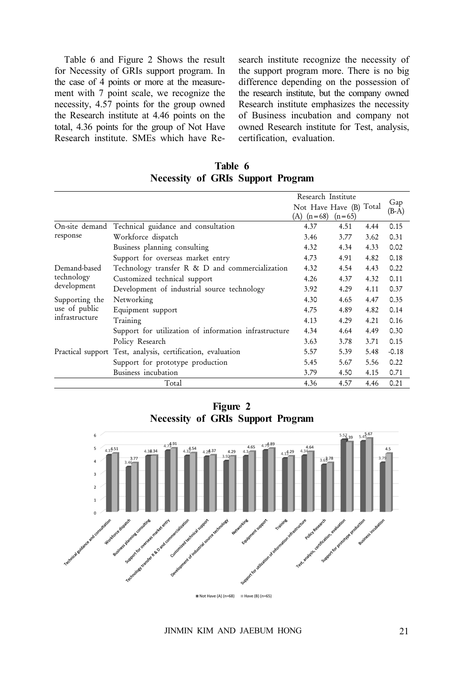Table 6 and Figure 2 Shows the result for Necessity of GRIs support program. In the case of 4 points or more at the measurement with 7 point scale, we recognize the necessity, 4.57 points for the group owned the Research institute at 4.46 points on the total, 4.36 points for the group of Not Have Research institute. SMEs which have Research institute recognize the necessity of the support program more. There is no big difference depending on the possession of the research institute, but the company owned Research institute emphasizes the necessity of Business incubation and company not owned Research institute for Test, analysis, certification, evaluation.

| Table 6                                  |  |  |  |  |  |  |
|------------------------------------------|--|--|--|--|--|--|
| <b>Necessity of GRIs Support Program</b> |  |  |  |  |  |  |

|                |                                                             | Research Institute                               |      |      |                |
|----------------|-------------------------------------------------------------|--------------------------------------------------|------|------|----------------|
|                |                                                             | Not Have Have (B) Total<br>(A) $(n=68)$ $(n=65)$ |      |      | Gap<br>$(B-A)$ |
| On-site demand | Technical guidance and consultation                         | 4.37                                             | 4.51 | 4.44 | 0.15           |
| response       | Workforce dispatch                                          | 3.46                                             | 3.77 | 3.62 | 0.31           |
|                | Business planning consulting                                | 4.32                                             | 4.34 | 4.33 | 0.02           |
|                | Support for overseas market entry                           | 4.73                                             | 4.91 | 4.82 | 0.18           |
| Demand-based   | Technology transfer R & D and commercialization             | 4.32                                             | 4.54 | 4.43 | 0.22           |
| technology     | Customized technical support                                | 4.26                                             | 4.37 | 4.32 | 0.11           |
| development    | Development of industrial source technology                 | 3.92                                             | 4.29 | 4.11 | 0.37           |
| Supporting the | Networking                                                  | 4.30                                             | 4.65 | 4.47 | 0.35           |
| use of public  | Equipment support                                           | 4.75                                             | 4.89 | 4.82 | 0.14           |
| infrastructure | Training                                                    | 4.13                                             | 4.29 | 4.21 | 0.16           |
|                | Support for utilization of information infrastructure       | 4.34                                             | 4.64 | 4.49 | 0.30           |
|                | Policy Research                                             | 3.63                                             | 3.78 | 3.71 | 0.15           |
|                | Practical support Test, analysis, certification, evaluation | 5.57                                             | 5.39 | 5.48 | $-0.18$        |
|                | Support for prototype production                            | 5.45                                             | 5.67 | 5.56 | 0.22           |
|                | Business incubation                                         | 3.79                                             | 4.50 | 4.15 | 0.71           |
|                | Total                                                       | 4.36                                             | 4.57 | 4.46 | 0.21           |

**Figure 2 Necessity of GRIs Support Program**



JINMIN KIM AND JAEBUM HONG 21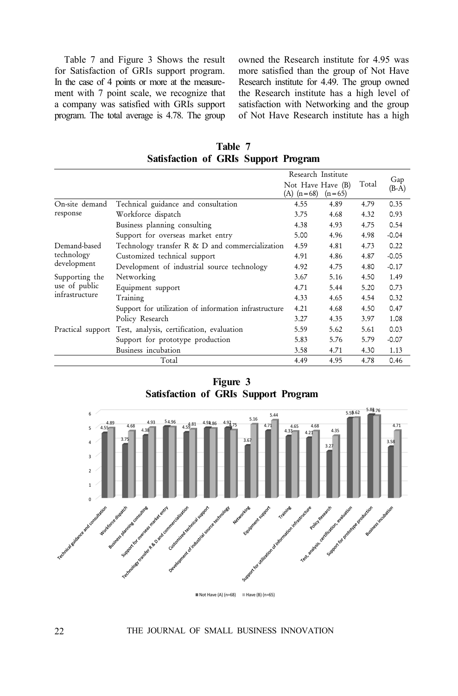Table 7 and Figure 3 Shows the result for Satisfaction of GRIs support program. In the case of 4 points or more at the measurement with 7 point scale, we recognize that a company was satisfied with GRIs support program. The total average is 4.78. The group owned the Research institute for 4.95 was more satisfied than the group of Not Have Research institute for 4.49. The group owned the Research institute has a high level of satisfaction with Networking and the group of Not Have Research institute has a high

**Table 7 Satisfaction of GRIs Support Program**

|                |                                                             | Research Institute                  |          |       |                |
|----------------|-------------------------------------------------------------|-------------------------------------|----------|-------|----------------|
|                |                                                             | Not Have Have (B)<br>$(A)$ $(n=68)$ | $(n=65)$ | Total | Gap<br>$(B-A)$ |
| On-site demand | Technical guidance and consultation                         | 4.55                                | 4.89     | 4.79  | 0.35           |
| response       | Workforce dispatch                                          | 3.75                                | 4.68     | 4.32  | 0.93           |
|                | Business planning consulting                                | 4.38                                | 4.93     | 4.75  | 0.54           |
|                | Support for overseas market entry                           | 5.00                                | 4.96     | 4.98  | $-0.04$        |
| Demand-based   | Technology transfer R & D and commercialization             | 4.59                                | 4.81     | 4.73  | 0.22           |
| technology     | Customized technical support                                | 4.91                                | 4.86     | 4.87  | $-0.05$        |
| development    | Development of industrial source technology                 | 4.92                                | 4.75     | 4.80  | $-0.17$        |
| Supporting the | Networking                                                  | 3.67                                | 5.16     | 4.50  | 1.49           |
| use of public  | Equipment support                                           | 4.71                                | 5.44     | 5.20  | 0.73           |
| infrastructure | Training                                                    | 4.33                                | 4.65     | 4.54  | 0.32           |
|                | Support for utilization of information infrastructure       | 4.21                                | 4.68     | 4.50  | 0.47           |
|                | Policy Research                                             | 3.27                                | 4.35     | 3.97  | 1.08           |
|                | Practical support Test, analysis, certification, evaluation | 5.59                                | 5.62     | 5.61  | 0.03           |
|                | Support for prototype production                            | 5.83                                | 5.76     | 5.79  | $-0.07$        |
|                | Business incubation                                         | 3.58                                | 4.71     | 4.30  | 1.13           |
|                | Total                                                       | 4.49                                | 4.95     | 4.78  | 0.46           |

**Figure 3 Satisfaction of GRIs Support Program**



22 THE JOURNAL OF SMALL BUSINESS INNOVATION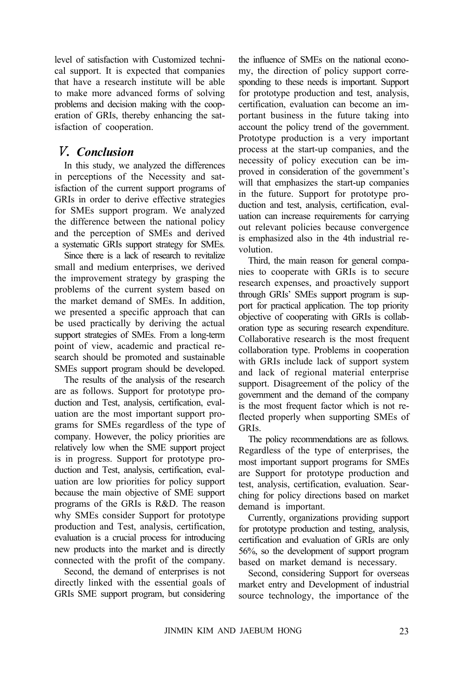level of satisfaction with Customized technical support. It is expected that companies that have a research institute will be able to make more advanced forms of solving problems and decision making with the cooperation of GRIs, thereby enhancing the satisfaction of cooperation.

## Ⅴ*. Conclusion*

In this study, we analyzed the differences in perceptions of the Necessity and satisfaction of the current support programs of GRIs in order to derive effective strategies for SMEs support program. We analyzed the difference between the national policy and the perception of SMEs and derived a systematic GRIs support strategy for SMEs.

Since there is a lack of research to revitalize small and medium enterprises, we derived the improvement strategy by grasping the problems of the current system based on the market demand of SMEs. In addition, we presented a specific approach that can be used practically by deriving the actual support strategies of SMEs. From a long-term point of view, academic and practical research should be promoted and sustainable SMEs support program should be developed.

The results of the analysis of the research are as follows. Support for prototype production and Test, analysis, certification, evaluation are the most important support programs for SMEs regardless of the type of company. However, the policy priorities are relatively low when the SME support project is in progress. Support for prototype production and Test, analysis, certification, evaluation are low priorities for policy support because the main objective of SME support programs of the GRIs is R&D. The reason why SMEs consider Support for prototype production and Test, analysis, certification, evaluation is a crucial process for introducing new products into the market and is directly connected with the profit of the company.

Second, the demand of enterprises is not directly linked with the essential goals of GRIs SME support program, but considering

the influence of SMEs on the national economy, the direction of policy support corresponding to these needs is important. Support for prototype production and test, analysis, certification, evaluation can become an important business in the future taking into account the policy trend of the government. Prototype production is a very important process at the start-up companies, and the necessity of policy execution can be improved in consideration of the government's will that emphasizes the start-up companies in the future. Support for prototype production and test, analysis, certification, evaluation can increase requirements for carrying out relevant policies because convergence is emphasized also in the 4th industrial revolution.

Third, the main reason for general companies to cooperate with GRIs is to secure research expenses, and proactively support through GRIs' SMEs support program is support for practical application. The top priority objective of cooperating with GRIs is collaboration type as securing research expenditure. Collaborative research is the most frequent collaboration type. Problems in cooperation with GRIs include lack of support system and lack of regional material enterprise support. Disagreement of the policy of the government and the demand of the company is the most frequent factor which is not reflected properly when supporting SMEs of GRIs.

The policy recommendations are as follows. Regardless of the type of enterprises, the most important support programs for SMEs are Support for prototype production and test, analysis, certification, evaluation. Searching for policy directions based on market demand is important.

Currently, organizations providing support for prototype production and testing, analysis, certification and evaluation of GRIs are only 56%, so the development of support program based on market demand is necessary.

Second, considering Support for overseas market entry and Development of industrial source technology, the importance of the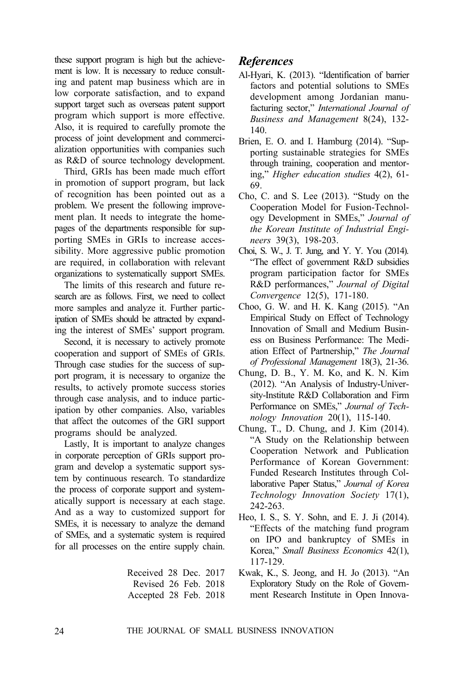these support program is high but the achievement is low. It is necessary to reduce consulting and patent map business which are in low corporate satisfaction, and to expand support target such as overseas patent support program which support is more effective. Also, it is required to carefully promote the process of joint development and commercialization opportunities with companies such as R&D of source technology development.

Third, GRIs has been made much effort in promotion of support program, but lack of recognition has been pointed out as a problem. We present the following improvement plan. It needs to integrate the homepages of the departments responsible for supporting SMEs in GRIs to increase accessibility. More aggressive public promotion are required, in collaboration with relevant organizations to systematically support SMEs.

The limits of this research and future research are as follows. First, we need to collect more samples and analyze it. Further participation of SMEs should be attracted by expanding the interest of SMEs' support program.

Second, it is necessary to actively promote cooperation and support of SMEs of GRIs. Through case studies for the success of support program, it is necessary to organize the results, to actively promote success stories through case analysis, and to induce participation by other companies. Also, variables that affect the outcomes of the GRI support programs should be analyzed.

Lastly, It is important to analyze changes in corporate perception of GRIs support program and develop a systematic support system by continuous research. To standardize the process of corporate support and systematically support is necessary at each stage. And as a way to customized support for SMEs, it is necessary to analyze the demand of SMEs, and a systematic system is required for all processes on the entire supply chain.

> Received 28 Dec. 2017 Revised 26 Feb. 2018 Accepted 28 Feb. 2018

## *References*

- Al-Hyari, K. (2013). "Identification of barrier factors and potential solutions to SMEs development among Jordanian manufacturing sector," *International Journal of Business and Management* 8(24), 132- 140.
- Brien, E. O. and I. Hamburg (2014). "Supporting sustainable strategies for SMEs through training, cooperation and mentoring," *Higher education studies* 4(2), 61- 69.
- Cho, C. and S. Lee (2013). "Study on the Cooperation Model for Fusion-Technology Development in SMEs," *Journal of the Korean Institute of Industrial Engineers* 39(3), 198-203.
- Choi, S. W., J. T. Jung, and Y. Y. You (2014). "The effect of government R&D subsidies program participation factor for SMEs R&D performances," *Journal of Digital Convergence* 12(5), 171-180.
- Choo, G. W. and H. K. Kang (2015). "An Empirical Study on Effect of Technology Innovation of Small and Medium Business on Business Performance: The Mediation Effect of Partnership," *The Journal of Professional Management* 18(3), 21-36.
- Chung, D. B., Y. M. Ko, and K. N. Kim (2012). "An Analysis of Industry-University-Institute R&D Collaboration and Firm Performance on SMEs," *Journal of Technology Innovation* 20(1), 115-140.
- Chung, T., D. Chung, and J. Kim (2014). "A Study on the Relationship between Cooperation Network and Publication Performance of Korean Government: Funded Research Institutes through Collaborative Paper Status," *Journal of Korea Technology Innovation Society* 17(1), 242-263.
- Heo, I. S., S. Y. Sohn, and E. J. Ji (2014). "Effects of the matching fund program on IPO and bankruptcy of SMEs in Korea," *Small Business Economics* 42(1), 117-129.
- Kwak, K., S. Jeong, and H. Jo (2013). "An Exploratory Study on the Role of Government Research Institute in Open Innova-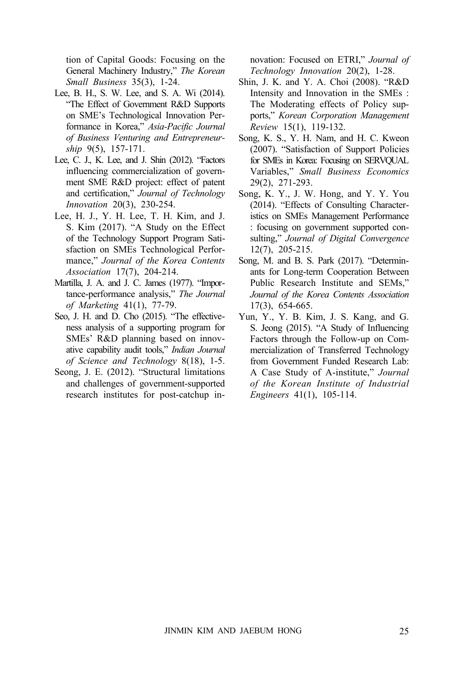tion of Capital Goods: Focusing on the General Machinery Industry," *The Korean Small Business* 35(3), 1-24.

- Lee, B. H., S. W. Lee, and S. A. Wi (2014). "The Effect of Government R&D Supports on SME's Technological Innovation Performance in Korea," *Asia-Pacific Journal of Business Venturing and Entrepreneurship* 9(5), 157-171.
- Lee, C. J., K. Lee, and J. Shin (2012). "Factors influencing commercialization of government SME R&D project: effect of patent and certification," *Journal of Technology Innovation* 20(3), 230-254.
- Lee, H. J., Y. H. Lee, T. H. Kim, and J. S. Kim (2017). "A Study on the Effect of the Technology Support Program Satisfaction on SMEs Technological Performance," *Journal of the Korea Contents Association* 17(7), 204-214.
- Martilla, J. A. and J. C. James (1977). "Importance-performance analysis," *The Journal of Marketing* 41(1), 77-79.
- Seo, J. H. and D. Cho (2015). "The effectiveness analysis of a supporting program for SMEs' R&D planning based on innovative capability audit tools," *Indian Journal of Science and Technology* 8(18), 1-5.
- Seong, J. E. (2012). "Structural limitations and challenges of government-supported research institutes for post-catchup in-

novation: Focused on ETRI," *Journal of Technology Innovation* 20(2), 1-28.

- Shin, J. K. and Y. A. Choi (2008). "R&D Intensity and Innovation in the SMEs : The Moderating effects of Policy supports," *Korean Corporation Management Review* 15(1), 119-132.
- Song, K. S., Y. H. Nam, and H. C. Kweon (2007). "Satisfaction of Support Policies for SMEs in Korea: Focusing on SERVQUAL Variables," *Small Business Economics* 29(2), 271-293.
- Song, K. Y., J. W. Hong, and Y. Y. You (2014). "Effects of Consulting Characteristics on SMEs Management Performance : focusing on government supported consulting," *Journal of Digital Convergence* 12(7), 205-215.
- Song, M. and B. S. Park (2017). "Determinants for Long-term Cooperation Between Public Research Institute and SEMs," *Journal of the Korea Contents Association* 17(3), 654-665.
- Yun, Y., Y. B. Kim, J. S. Kang, and G. S. Jeong (2015). "A Study of Influencing Factors through the Follow-up on Commercialization of Transferred Technology from Government Funded Research Lab: A Case Study of A-institute," *Journal of the Korean Institute of Industrial Engineers* 41(1), 105-114.